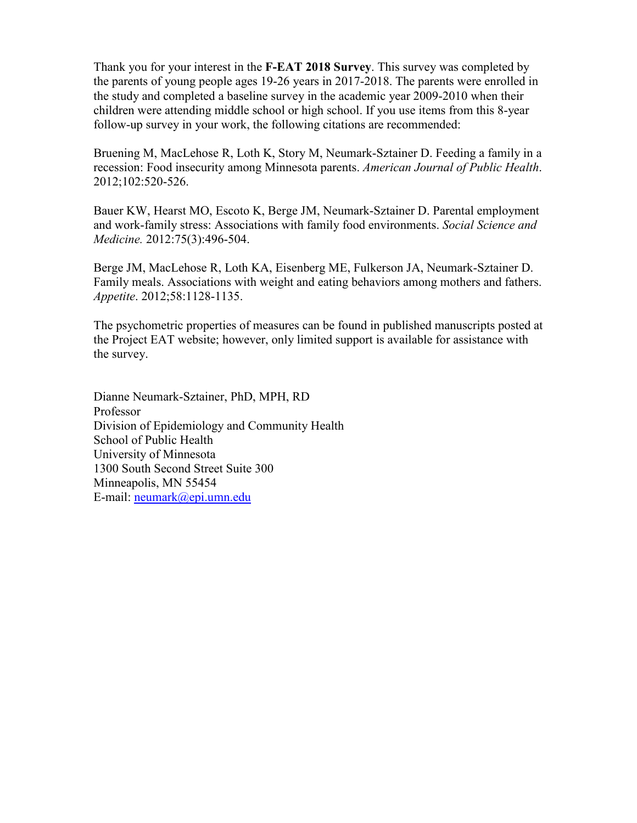Thank you for your interest in the **F-EAT 2018 Survey**. This survey was completed by the parents of young people ages 19-26 years in 2017-2018. The parents were enrolled in the study and completed a baseline survey in the academic year 2009-2010 when their children were attending middle school or high school. If you use items from this 8-year follow-up survey in your work, the following citations are recommended:

Bruening M, MacLehose R, Loth K, Story M, Neumark-Sztainer D. Feeding a family in a recession: Food insecurity among Minnesota parents. *American Journal of Public Health*. 2012;102:520-526.

Bauer KW, Hearst MO, Escoto K, Berge JM, Neumark-Sztainer D. Parental employment and work-family stress: Associations with family food environments. *Social Science and Medicine.* 2012:75(3):496-504.

Berge JM, MacLehose R, Loth KA, Eisenberg ME, Fulkerson JA, Neumark-Sztainer D. Family meals. Associations with weight and eating behaviors among mothers and fathers. *Appetite*. 2012;58:1128-1135.

The psychometric properties of measures can be found in published manuscripts posted at the Project EAT website; however, only limited support is available for assistance with the survey.

Dianne Neumark-Sztainer, PhD, MPH, RD Professor Division of Epidemiology and Community Health School of Public Health University of Minnesota 1300 South Second Street Suite 300 Minneapolis, MN 55454 E-mail: [neumark@epi.umn.edu](mailto:neumark@epi.umn.edu)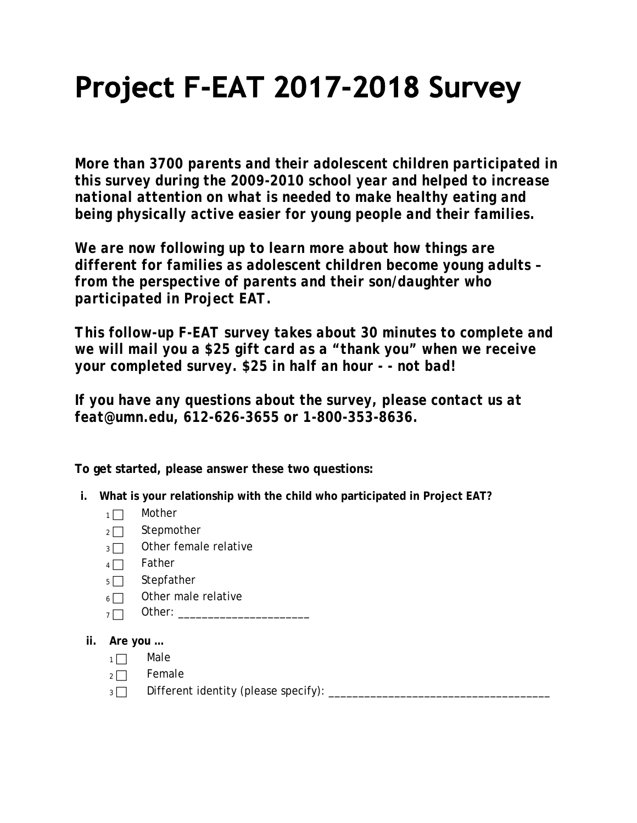# Project F-EAT 2017-2018 Survey

*More than 3700 parents and their adolescent children participated in this survey during the 2009-2010 school year and helped to increase national attention on what is needed to make healthy eating and being physically active easier for young people and their families.*

*We are now following up to learn more about how things are different for families as adolescent children become young adults – from the perspective of parents and their son/daughter who participated in Project EAT.*

*This follow-up F-EAT survey takes about 30 minutes to complete and we will mail you a \$25 gift card as a "thank you" when we receive your completed survey. \$25 in half an hour - - not bad!*

*If you have any questions about the survey, please contact us at feat@umn.edu, 612-626-3655 or 1-800-353-8636.*

**To get started, please answer these two questions:**

- **i. What is your relationship with the child who participated in Project EAT?** 
	- $1 \Box$  Mother
	- $2 \square$  Stepmother
	- $3 \Box$  Other female relative
	- $4 \Box$  Father
	- $5 \Box$  Stepfather
	- $6 \Box$  Other male relative
	- <sup>7</sup> Other: \_\_\_\_\_\_\_\_\_\_\_\_\_\_\_\_\_\_\_\_\_\_
- **ii. Are you …**
	- $1 \Box$  Male
	- $2 \square$  Female
	- <sup>3</sup> Different identity (please specify): \_\_\_\_\_\_\_\_\_\_\_\_\_\_\_\_\_\_\_\_\_\_\_\_\_\_\_\_\_\_\_\_\_\_\_\_\_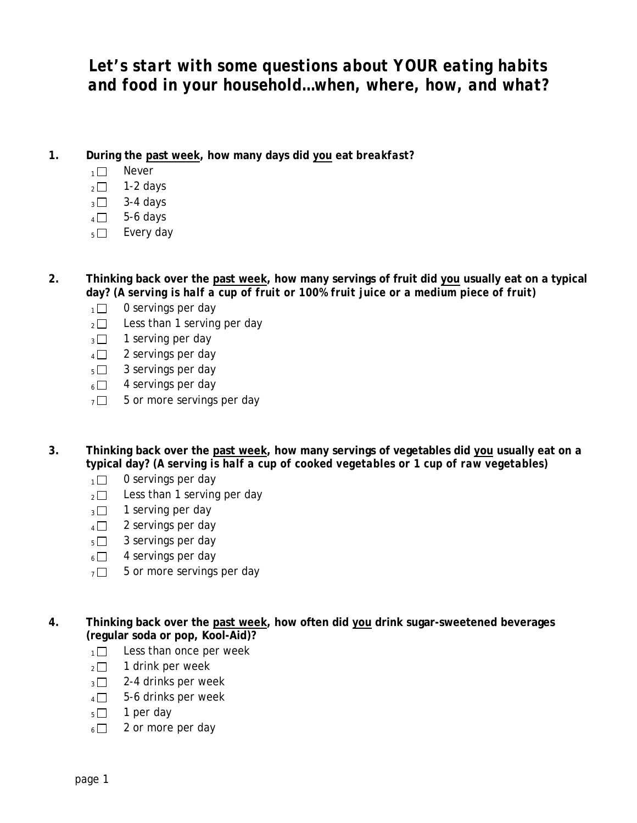### *Let's start with some questions about YOUR eating habits and food in your household…when, where, how, and what?*

- **1. During the past week, how many days did you eat** *breakfast?*
	- $1 \Box$  Never
	- $\sqrt{2}$  1-2 days
	- $3 3 4$  days
	- $4 \Box$  5-6 days
	- $_5\square$  Every day
- **2. Thinking back over the past week, how many servings of fruit did you usually eat on a typical day?** *(A serving is half a cup of fruit or 100% fruit juice or a medium piece of fruit)* 
	- $1 \square$  0 servings per day
	- $_2 \square$  Less than 1 serving per day
	- $3 \square$  1 serving per day
	- $4 \Box$  2 servings per day
	- $_5\Box$  3 servings per day
	- $6 \Box$  4 servings per day
	- $7 \square$  5 or more servings per day
- **3. Thinking back over the past week, how many servings of vegetables did you usually eat on a typical day?** *(A serving is half a cup of cooked vegetables or 1 cup of raw vegetables)* 
	- $1 \square$  0 servings per day
	- $_2\square$  Less than 1 serving per day
	- $_3$  1 serving per day
	- $4 \Box$  2 servings per day
	- $5 \square$  3 servings per day
	- $6 \square$  4 servings per day
	- $7 \square$  5 or more servings per day
- **4. Thinking back over the past week, how often did you drink sugar-sweetened beverages (regular soda or pop, Kool-Aid)?** 
	- $1 \Box$  Less than once per week
	- $2 \square$  1 drink per week
	- $3 \Box$  2-4 drinks per week
	- $4 \Box$  5-6 drinks per week
	- $5 \Box$  1 per day
	- $6 \Box$  2 or more per day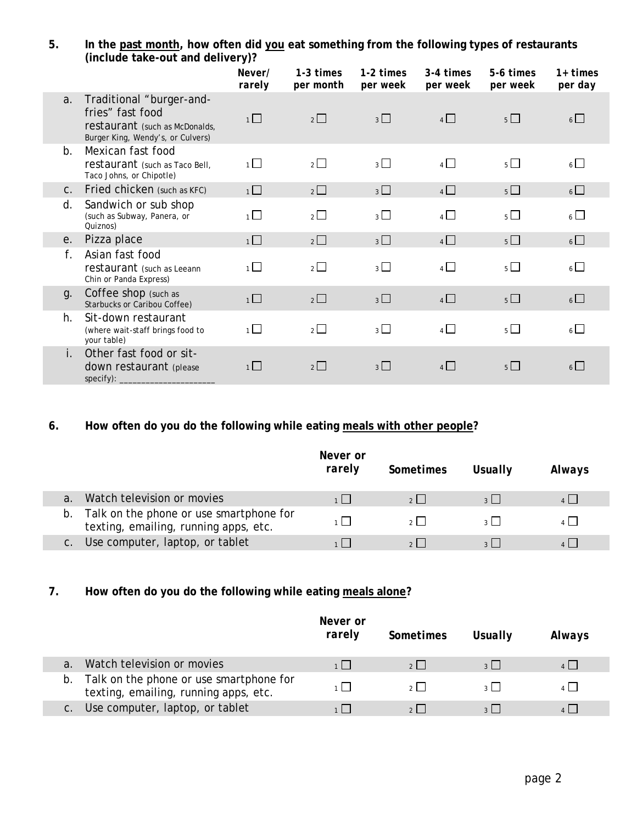#### **5. In the past month, how often did you eat something from the following types of restaurants (include take-out and delivery)?**

|                |                                                                                                                     | Never/<br>rarely | 1-3 times<br>per month | 1-2 times<br>per week | 3-4 times<br>per week | 5-6 times<br>per week | 1+ times<br>per day |
|----------------|---------------------------------------------------------------------------------------------------------------------|------------------|------------------------|-----------------------|-----------------------|-----------------------|---------------------|
| a <sub>1</sub> | Traditional "burger-and-<br>fries" fast food<br>restaurant (such as McDonalds,<br>Burger King, Wendy's, or Culvers) | $\overline{1}$   | $2\Box$                | 3                     | $4 \Box$              | $5\Box$               | $6\Box$             |
| $h_{-}$        | Mexican fast food<br>restaurant (such as Taco Bell,<br>Taco Johns, or Chipotle)                                     | $1\Box$          | $2 \Box$               | 3 <sup>1</sup>        | $4\Box$               | $5\Box$               | $6\Box$             |
| C <sub>1</sub> | Fried chicken (such as KFC)                                                                                         | $1\Box$          | $2\Box$                | $3\Box$               | $4\Box$               | $5\Box$               | $6\Box$             |
| d.             | Sandwich or sub shop<br>(such as Subway, Panera, or<br>Quiznos)                                                     | $\overline{1}$   | $2\Box$                | $3\Box$               | $4\Box$               | $5\Box$               | $6\Box$             |
| e.             | Pizza place                                                                                                         | $\overline{1}$   | $2\Box$                | $3\Box$               | $4\Box$               | $5\Box$               | $6\Box$             |
| f.             | Asian fast food<br>restaurant (such as Leeann<br>Chin or Panda Express)                                             | $1\Box$          | $2\Box$                | $3\Box$               | $4\Box$               | $5\Box$               | $6\Box$             |
| g.             | Coffee shop (such as<br>Starbucks or Caribou Coffee)                                                                | $1\Box$          | $2\Box$                | $3\Box$               | $4\Box$               | $5\Box$               | $6\Box$             |
| h.             | Sit-down restaurant<br>(where wait-staff brings food to<br>your table)                                              | $1\Box$          | $2\Box$                | $3\Box$               | $4\Box$               | $5\Box$               | $6\Box$             |
| i.             | Other fast food or sit-<br>down restaurant (please                                                                  | $1\Box$          | $2\Box$                | $3\Box$               | 4                     | $5\Box$               | $6\Box$             |

#### **6. How often do you do the following while eating meals with other people?**

|                                                                                     | Never or<br>rarely | Sometimes      | Usually       | Always |
|-------------------------------------------------------------------------------------|--------------------|----------------|---------------|--------|
| Watch television or movies                                                          |                    | 2              | $\frac{1}{2}$ |        |
| b. Talk on the phone or use smartphone for<br>texting, emailing, running apps, etc. |                    | 2 <sup>1</sup> | $2 \mid$      |        |
| Use computer, laptop, or tablet                                                     |                    |                |               |        |

#### **7. How often do you do the following while eating meals alone?**

|    |                                                                                  | Never or<br>rarely | Sometimes | Usually       | Always |
|----|----------------------------------------------------------------------------------|--------------------|-----------|---------------|--------|
|    | Watch television or movies                                                       |                    |           | $\frac{1}{2}$ |        |
| b. | Talk on the phone or use smartphone for<br>texting, emailing, running apps, etc. |                    |           | $\frac{1}{2}$ |        |
|    | Use computer, laptop, or tablet                                                  |                    |           |               |        |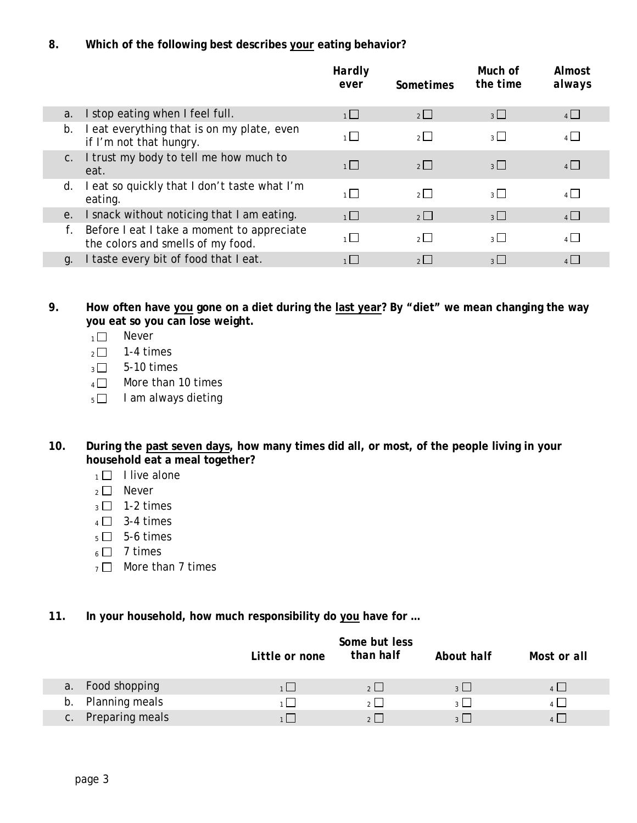#### **8. Which of the following best describes your eating behavior?**

|    |                                                                                 | Hardly<br>ever | Sometimes      | Much of<br>the time | Almost<br>always |
|----|---------------------------------------------------------------------------------|----------------|----------------|---------------------|------------------|
| a. | I stop eating when I feel full.                                                 | 1              | $2\Box$        | $3\Box$             | 4                |
| b. | I eat everything that is on my plate, even<br>if I'm not that hungry.           | $1\Box$        | $2\Box$        | $3\Box$             | $4\Box$          |
|    | c. I trust my body to tell me how much to<br>eat.                               | $\overline{1}$ | $2 \Box$       | $3 \Box$            | $4\Box$          |
| d. | I eat so quickly that I don't taste what I'm<br>eating.                         | $1\Box$        | $\overline{2}$ | $3\Box$             | $\overline{4}$   |
| e. | I snack without noticing that I am eating.                                      | $\overline{1}$ | 2              | $3\Box$             | $4\Box$          |
|    | Before I eat I take a moment to appreciate<br>the colors and smells of my food. | $1\Box$        | $\overline{2}$ | $3\Box$             | $4\Box$          |
| q. | I taste every bit of food that I eat.                                           | 1              | $2$            | $3 \mid$            | $4\Box$          |

**9. How often have you gone on a diet during the last year? By "diet" we mean changing the way you eat so you can lose weight.** 

- $1 \Box$  Never
- $2 \square$  1-4 times
- $3 \square$  5-10 times
- $_4\Box$  More than 10 times
- $5 \Box$  I am always dieting
- **10. During the past seven days, how many times did all, or most, of the people living in your household eat a meal together?** 
	- $1 \square$  I live alone
	- $2 \Box$  Never
	- $_3$   $\Box$  1-2 times
	- $4 \Box$  3-4 times
	- $5 \square$  5-6 times
	- $6 \square$  7 times
	- $7 \square$  More than 7 times
- **11. In your household, how much responsibility do you have for …**

|                          | Little or none | Some but less<br>than half | About half      | Most or all |
|--------------------------|----------------|----------------------------|-----------------|-------------|
| a. Food shopping         | 1 I            | 2                          | $3 \mid$        | 4           |
| Planning meals<br>b.     | 1   I          | 2                          | $\sim$ 1 $\sim$ | 4           |
| Preparing meals<br>$C$ . |                | $\sim$ $\sim$ $\sim$       |                 |             |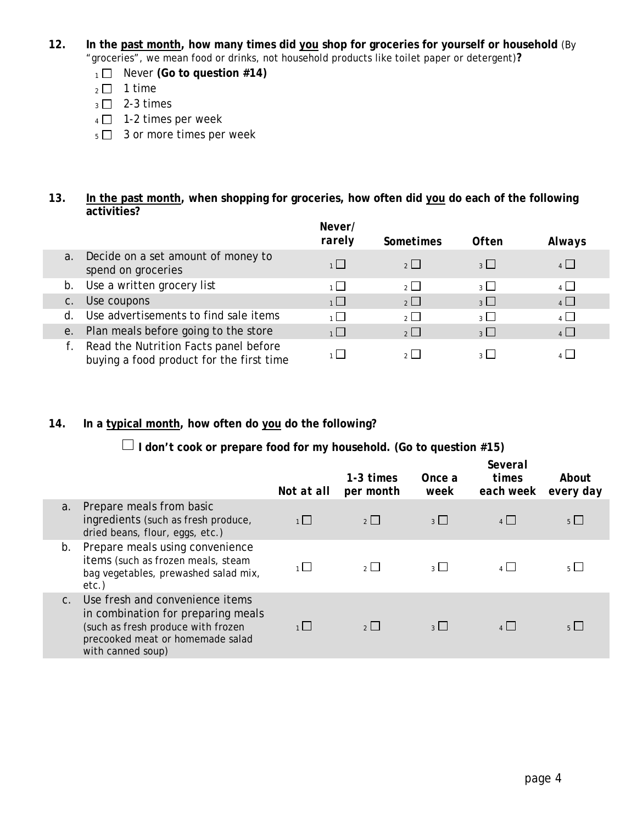- **12. In the past month, how many times did you shop for groceries for yourself or household** (By "groceries", we mean food or drinks, not household products like toilet paper or detergent)**?**
	- 1 Never **(Go to question #14)**
	- $2 \square$  1 time
	- $_3$   $\Box$  2-3 times
	- $4 \square$  1-2 times per week
	- $5 \Box$  3 or more times per week

#### **13. In the past month, when shopping for groceries, how often did you do each of the following activities?**

|       |                                                                                   | Never/<br>rarely | Sometimes      | <b>Often</b>             | Always         |
|-------|-----------------------------------------------------------------------------------|------------------|----------------|--------------------------|----------------|
|       | a. Decide on a set amount of money to<br>spend on groceries                       | 1                | 2              | $\frac{1}{3}$            | $4$            |
|       | b. Use a written grocery list                                                     | 1                | $\overline{2}$ | $\overline{\mathcal{E}}$ | $4$            |
| $C$ . | Use coupons                                                                       | $1\Box$          | $\overline{2}$ | $\overline{3}$           | $\overline{4}$ |
| d.    | Use advertisements to find sale items                                             | $\overline{1}$   | $\overline{2}$ | $_3$ $\Box$              | $\overline{4}$ |
|       | e. Plan meals before going to the store                                           | $\overline{1}$   | $\overline{2}$ | $\overline{3}$           | $4\Box$        |
|       | Read the Nutrition Facts panel before<br>buying a food product for the first time |                  |                |                          |                |

#### **14. In a typical month, how often do you do the following?**

 **I don't cook or prepare food for my household. (Go to question #15)**

|             |                                                                                                                                                                      | Not at all | 1-3 times<br>per month | Once a<br>week          | Several<br>times<br>each week | About<br>every day |
|-------------|----------------------------------------------------------------------------------------------------------------------------------------------------------------------|------------|------------------------|-------------------------|-------------------------------|--------------------|
| a.          | Prepare meals from basic<br>ingredients (such as fresh produce,<br>dried beans, flour, eggs, etc.)                                                                   |            | 2                      | $3 \mid$                | $\mathbf{A}$                  | $5 \mid$           |
| b.          | Prepare meals using convenience<br>items (such as frozen meals, steam<br>bag vegetables, prewashed salad mix,<br>etc.)                                               | $1 \mid$   | $2 \mid$               | $\overline{\mathbf{3}}$ | 4                             | $5 \mid$           |
| $C_{\cdot}$ | Use fresh and convenience items<br>in combination for preparing meals<br>(such as fresh produce with frozen<br>precooked meat or homemade salad<br>with canned soup) |            | $2 \mid$               | $\frac{1}{3}$           | 4                             | 5 <sup>1</sup>     |
|             |                                                                                                                                                                      |            |                        |                         |                               |                    |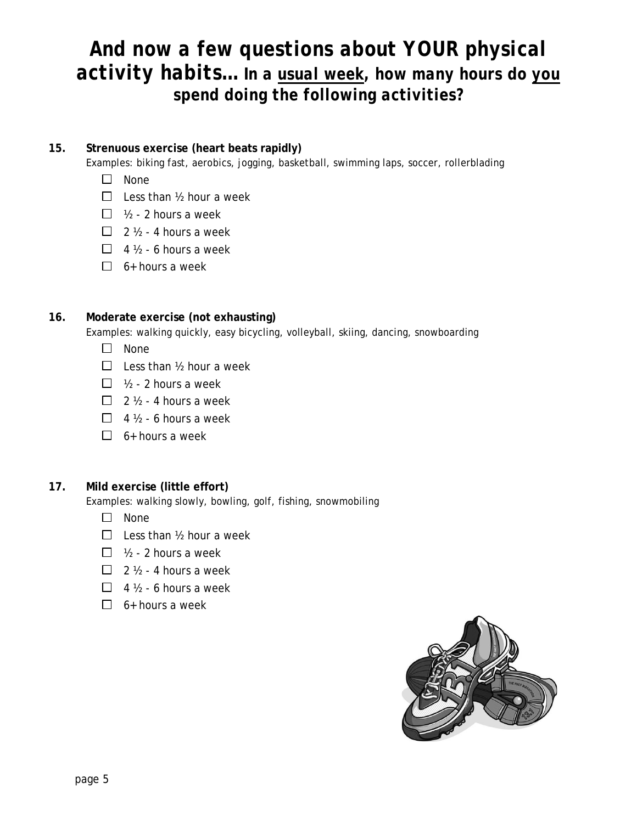## *And now a few questions about YOUR physical activity habits… In a usual week, how many hours do you spend doing the following activities?*

#### **15. Strenuous exercise (heart beats rapidly)**

Examples: biking fast, aerobics, jogging, basketball, swimming laps, soccer, rollerblading

- $\square$  None
- $\Box$  Less than  $\frac{1}{2}$  hour a week
- $\Box$  1/2 2 hours a week
- $\Box$  2  $\frac{1}{2}$  4 hours a week
- $\Box$  4  $\frac{1}{2}$  6 hours a week
- $\Box$  6+ hours a week

#### **16. Moderate exercise (not exhausting)**

Examples: walking quickly, easy bicycling, volleyball, skiing, dancing, snowboarding

- $\Box$  None
- $\Box$  Less than  $\frac{1}{2}$  hour a week
- $\Box$  1/2 2 hours a week
- $\Box$  2  $\frac{1}{2}$  4 hours a week
- $\Box$  4  $\frac{1}{2}$  6 hours a week
- $\Box$  6+ hours a week

#### **17. Mild exercise (little effort)**

Examples: walking slowly, bowling, golf, fishing, snowmobiling

- $\Box$  None
- $\Box$  Less than  $\frac{1}{2}$  hour a week
- $\Box$  1/2 2 hours a week
- $\Box$  2  $\frac{1}{2}$  4 hours a week
- $\Box$  4  $\frac{1}{2}$  6 hours a week
- $\Box$  6+ hours a week

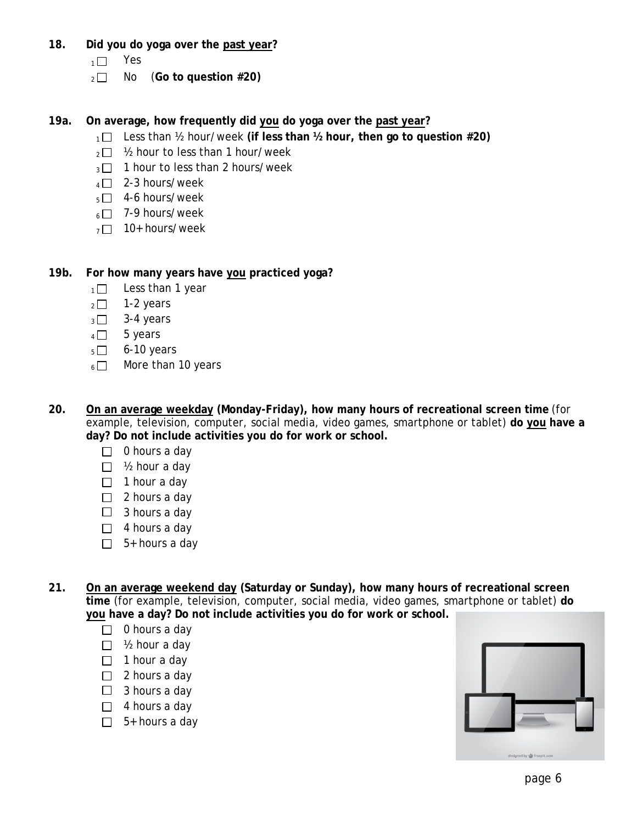- **18. Did you do yoga over the past year?**
	- $1 \Box$  Yes
	- 2 No (Go to question #20)
- **19a. On average, how frequently did you do yoga over the past year?** 
	- 1□ Less than ½ hour/week (if less than ½ hour, then go to question #20)
	- $2 \Box$  1/2 hour to less than 1 hour/week
	- $3 \Box$  1 hour to less than 2 hours/week
	- $4 \square$  2-3 hours/week
	- $5\Box$  4-6 hours/week
	- $6 \Box$  7-9 hours/week
	- $7 \square$  10+ hours/week
- **19b. For how many years have you practiced yoga?** 
	- $1 \square$  Less than 1 year
	- $2 \square$  1-2 years
	- $_3$   $\Box$  3-4 years
	- $4 \Box$  5 years
	- $5 \Box$  6-10 years
	- $6 \Box$  More than 10 years
- **20. On an average weekday (Monday-Friday), how many hours of recreational screen time** (for example, television, computer, social media, video games, smartphone or tablet) **do you have a day? Do not include activities you do for work or school.** 
	- $\Box$  0 hours a day
	- $\Box$  1/2 hour a day
	- $\Box$  1 hour a day
	- $\Box$  2 hours a day
	- $\Box$  3 hours a day
	- $\Box$  4 hours a day
	- $\Box$  5+ hours a day
- **21. On an average weekend day (Saturday or Sunday), how many hours of recreational screen time** (for example, television, computer, social media, video games, smartphone or tablet) **do you have a day? Do not include activities you do for work or school.** 
	- $\Box$  0 hours a day
	- $\Box$  1/2 hour a day
	- $\Box$  1 hour a day
	- $\Box$  2 hours a day
	- $\Box$  3 hours a day
	- $\Box$  4 hours a day
	- $\Box$  5+ hours a day

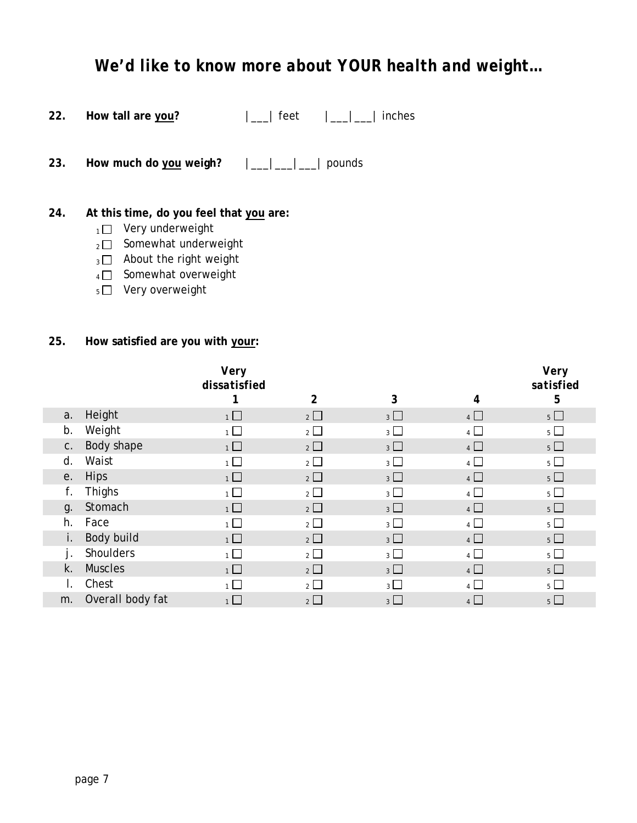## *We'd like to know more about YOUR health and weight…*

| 22. | How tall are you? | feet | $\vert$ $\vert$ $\vert$ $\vert$ inches |
|-----|-------------------|------|----------------------------------------|
|-----|-------------------|------|----------------------------------------|

**23. How much do you weigh?** |\_\_\_|\_\_\_|\_\_\_| pounds

#### **24. At this time, do you feel that you are:**

- $1 \Box$  Very underweight
- $_2\square$  Somewhat underweight
- $_3$   $\Box$  About the right weight
- $4 \Box$  Somewhat overweight
- $5 \Box$  Very overweight

#### **25. How satisfied are you with your:**

|    |                  | Very<br>dissatisfied | $\overline{2}$        | 3              | 4              | Very<br>satisfied<br>5 |
|----|------------------|----------------------|-----------------------|----------------|----------------|------------------------|
| a. | Height           | $1$ $\Box$           | $2\Box$               | 3 <sup>1</sup> | $4\Box$        | $5\Box$                |
| b. | Weight           | 1                    | $2 \Box$              | 3 <sup>1</sup> | 4 <sup>1</sup> | $5 \Box$               |
| C. | Body shape       | $1\Box$              | $2\Box$               | $3\Box$        | $4\Box$        | $5\Box$                |
| d. | Waist            | $\overline{1}$       | $2\Box$               | 3 <sup>1</sup> | $\overline{4}$ | $5 \Box$               |
| е. | <b>Hips</b>      | $1 \Box$             | $2 \Box$              | 3 <sup>1</sup> | 4              | $5 \Box$               |
| f. | <b>Thighs</b>    | 1                    | $2\Box$               | 3 <sup>1</sup> | $\overline{4}$ | $5\Box$                |
| g. | Stomach          | 1                    | $2\Box$               | 3 <sup>1</sup> | $4\Box$        | $5\Box$                |
| h. | Face             | $\overline{1}$       | $\overline{2}$ $\Box$ | 3 <sub>1</sub> | $4$ $\Box$     | $5 \Box$               |
| i. | Body build       | $1$ $\Box$           | $2\Box$               | 3 <sup>1</sup> | $4\Box$        | $5\Box$                |
| j. | Shoulders        | $\overline{1}$       | $2\Box$               | $_3\square$    | $4\Box$        | $5\Box$                |
| k. | <b>Muscles</b>   | 1                    | $2\Box$               | 3 <sup>1</sup> | $4$ $\Box$     | $5\Box$                |
| I. | Chest            | 1 <sup>1</sup>       | 2                     | $3 \Box$       | $4\sqrt{ }$    | $5 \Box$               |
| m. | Overall body fat |                      | $2 \Box$              | 3 <sup>1</sup> | 4              | $5 \Box$               |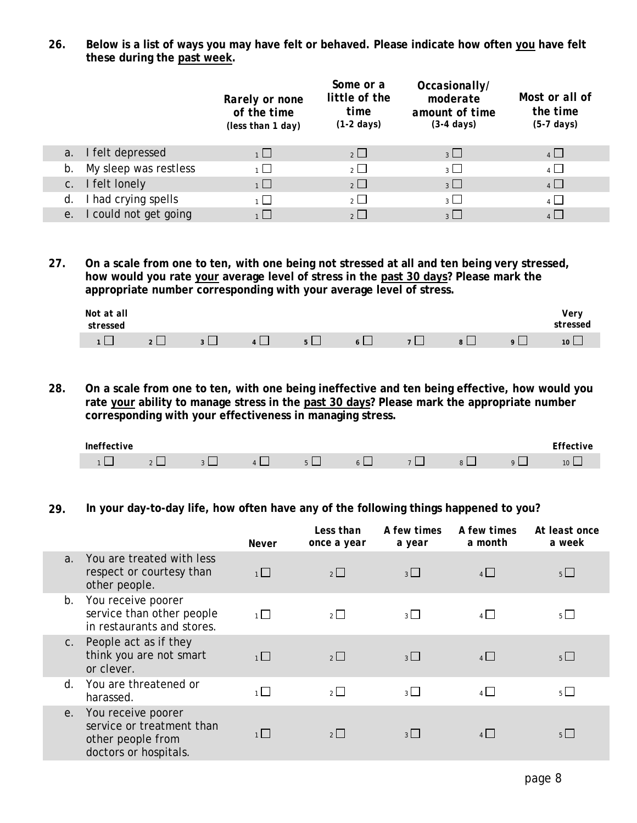**26. Below is a list of ways you may have felt or behaved. Please indicate how often you have felt these during the past week.** 

|                                      | Rarely or none<br>of the time<br>(less than 1 day) | Some or a<br>little of the<br>time<br>$(1-2 \text{ days})$ | Occasionally/<br>moderate<br>amount of time<br>$(3-4 \text{ days})$ | Most or all of<br>the time<br>$(5-7 \text{ days})$ |
|--------------------------------------|----------------------------------------------------|------------------------------------------------------------|---------------------------------------------------------------------|----------------------------------------------------|
| a. I felt depressed                  | 1                                                  | $2 \Box$                                                   | $3 \Box$                                                            | $4 \Box$                                           |
| b. My sleep was restless             | $\overline{1}$                                     | $\overline{2}$ $\Box$                                      | $\overline{3}$                                                      | $\overline{4}$                                     |
| c. I felt lonely                     | $1\Box$                                            | $2\Box$                                                    | $3\Box$                                                             | $4$ $\Box$                                         |
| d. I had crying spells               | 1                                                  | $\overline{2}$ $\Box$                                      | $\overline{3}$                                                      | $\overline{4}$                                     |
| I could not get going<br>$e_{\cdot}$ |                                                    | $\overline{\mathcal{E}}$                                   | $\overline{3}$                                                      |                                                    |

**27. On a scale from one to ten, with one being not stressed at all and ten being very stressed, how would you rate your average level of stress in the past 30 days? Please mark the appropriate number corresponding with your average level of stress.** 

| Not at all<br>stressed |          |        |                |      |                               |          |          | v v 1<br><b>ressea</b> |
|------------------------|----------|--------|----------------|------|-------------------------------|----------|----------|------------------------|
|                        | $\Omega$ | $\sim$ | $\overline{ }$ | $-1$ | $\overline{ }$ $\overline{ }$ | $\alpha$ | $\Omega$ | 10 <sup>°</sup>        |

**28. On a scale from one to ten, with one being ineffective and ten being effective, how would you rate your ability to manage stress in the past 30 days? Please mark the appropriate number corresponding with your effectiveness in managing stress.** 

| $\sim$<br><br>. |    |   |                                   |  |  | $ -$<br>†ive<br>. |
|-----------------|----|---|-----------------------------------|--|--|-------------------|
|                 | __ | _ | _<br>$\overline{\phantom{0}}$<br> |  |  | $\sim$            |

#### **29. In your day-to-day life, how often have any of the following things happened to you?**

|                |                                                                                               | Never   | Less than<br>once a year | A few times<br>a year | A few times<br>a month | At least once<br>a week |
|----------------|-----------------------------------------------------------------------------------------------|---------|--------------------------|-----------------------|------------------------|-------------------------|
| a <sub>1</sub> | You are treated with less<br>respect or courtesy than<br>other people.                        | 1       | $2\Box$                  | $3 \Box$              | 4                      | $5 \Box$                |
| b.             | You receive poorer<br>service than other people<br>in restaurants and stores.                 | 1       | $2\Box$                  | $3^{\circ}$           | 4                      | 5 <sup>1</sup>          |
| C <sub>1</sub> | People act as if they<br>think you are not smart<br>or clever.                                | 1       | $2\Box$                  | $3 \Box$              | 4                      | 5 <sup>1</sup>          |
| $d_{\cdot}$    | You are threatened or<br>harassed.                                                            | 1       | $\overline{2}$           | $3^{\square}$         | $4\vert$               | $5 \mid$                |
| е.             | You receive poorer<br>service or treatment than<br>other people from<br>doctors or hospitals. | $1\Box$ | $2 \mid$                 | $3 \Box$              | 4                      | $5 \mid$                |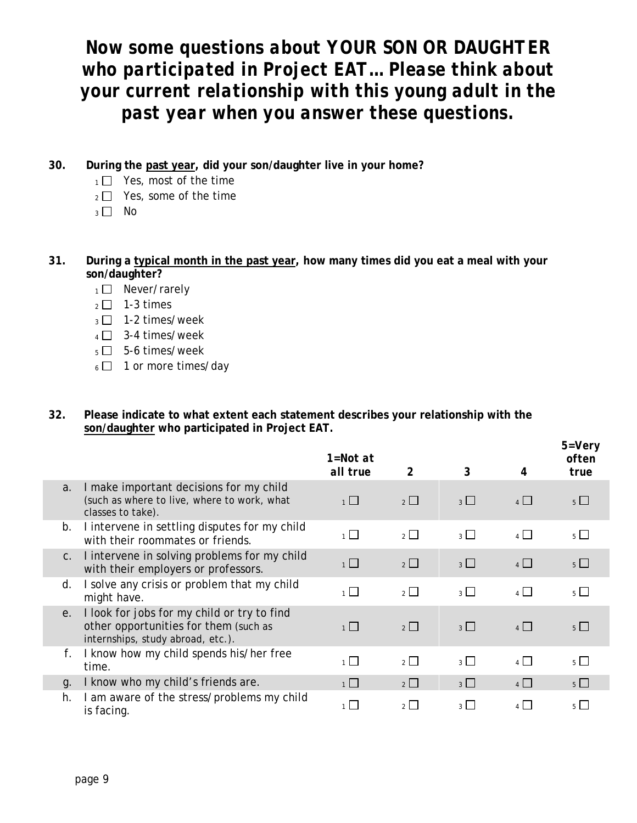*Now some questions about YOUR SON OR DAUGHTER who participated in Project EAT… Please think about your current relationship with this young adult in the past year when you answer these questions.*

- **30. During the past year, did your son/daughter live in your home?** 
	- $1 \square$  Yes, most of the time
	- $_2 \square$  Yes, some of the time
	- $3 \Box$  No
- **31. During a typical month in the past year, how many times did you eat a meal with your son/daughter?**
	- $1 \square$  Never/rarely
	- $2 \square$  1-3 times
	- $_3$   $\Box$  1-2 times/week
	- $4 \Box$  3-4 times/week
	- $5 \Box$  5-6 times/week
	- $6 \square$  1 or more times/day
- **32. Please indicate to what extent each statement describes your relationship with the son/daughter who participated in Project EAT.**

|    |                                                                                                                           | 1=Not at<br>all true | 2                     | 3           | 4              | $5 = V$ ery<br>often<br>true |
|----|---------------------------------------------------------------------------------------------------------------------------|----------------------|-----------------------|-------------|----------------|------------------------------|
| a. | I make important decisions for my child<br>(such as where to live, where to work, what<br>classes to take).               | $\overline{1}$       | $\overline{2}$ $\Box$ | $3\Box$     | $4$ $\Box$     | $5 \Box$                     |
| b. | I intervene in settling disputes for my child<br>with their roommates or friends.                                         | $\overline{1}$       | $\overline{2}$ $\Box$ | $_3\square$ | $4\Box$        | $5 \Box$                     |
| C. | I intervene in solving problems for my child<br>with their employers or professors.                                       | 1                    | $2\Box$               | $3\Box$     | $4\Box$        | $5\Box$                      |
| d. | I solve any crisis or problem that my child<br>might have.                                                                | $\overline{1}$       | $\overline{2}$ $\Box$ | $_3$ $\Box$ | $\overline{4}$ | $5\Box$                      |
| е. | I look for jobs for my child or try to find<br>other opportunities for them (such as<br>internships, study abroad, etc.). | $\overline{1}$       | $\overline{2}$        | $3\Box$     | $4\Box$        | $5 \mid \mid$                |
| f. | I know how my child spends his/her free<br>time.                                                                          | $\overline{1}$       | $\overline{2}$ $\Box$ | $_3$ $\Box$ | $\overline{4}$ | $5\Box$                      |
| q. | I know who my child's friends are.                                                                                        | $\overline{1}$       | $2\Box$               | $3\Box$     | 4              | $5 \Box$                     |
| h. | I am aware of the stress/problems my child<br>is facing.                                                                  | 1                    | $2 \mid$              | $3 \mid$    | $\mathbf{A}$   | 5 <sup>1</sup>               |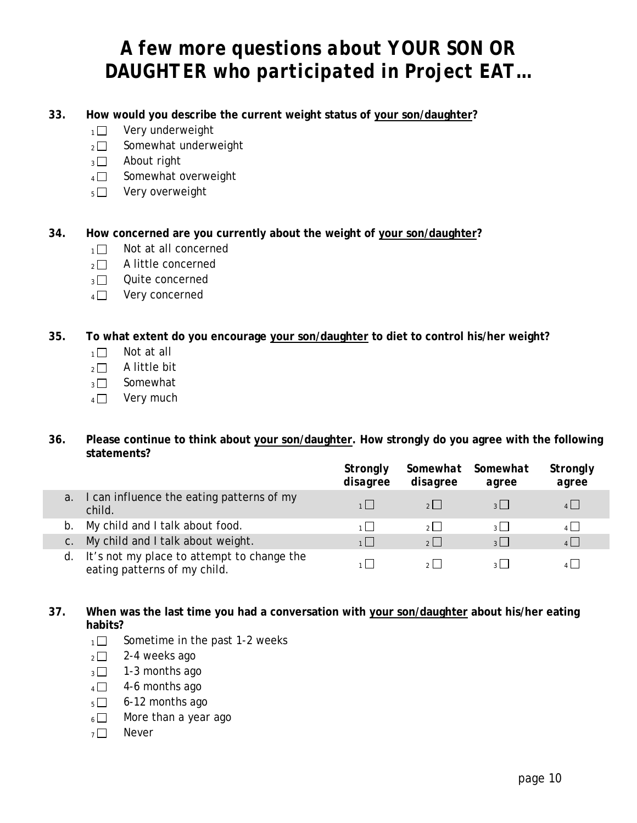# *A few more questions about YOUR SON OR DAUGHTER who participated in Project EAT…*

- **33. How would you describe the current weight status of your son/daughter?** 
	- $1 \Box$  Very underweight
	- $_2\square$  Somewhat underweight
	- $3 \Box$  About right
	- $4 \Box$  Somewhat overweight
	- $_5\square$  Very overweight

#### **34. How concerned are you currently about the weight of your son/daughter?**

- $1 \square$  Not at all concerned
- $2 \square$  A little concerned
- $_3\Box$  Quite concerned
- $_4$   $\Box$  Very concerned

#### **35. To what extent do you encourage your son/daughter to diet to control his/her weight?**

- $1 \square$  Not at all
- $2 \square$  A little bit
- $_3\Box$  Somewhat
- $4 \Box$  Very much

#### **36. Please continue to think about your son/daughter. How strongly do you agree with the following statements?**

|    |                                                                            | Strongly<br>disagree | disagree       | Somewhat Somewhat<br>agree | Strongly<br>agree |
|----|----------------------------------------------------------------------------|----------------------|----------------|----------------------------|-------------------|
| a. | I can influence the eating patterns of my<br>child.                        | 1                    | $2 \mid$       | $3 \mid$                   | $4 \Box$          |
| b. | My child and I talk about food.                                            | 1                    | 2 <sup>1</sup> | $3 \Box$                   | $4 \Box$          |
|    | My child and I talk about weight.                                          | 1                    | $2$            | $3 \mid$                   | $4\Box$           |
| d. | It's not my place to attempt to change the<br>eating patterns of my child. |                      |                | 3 <sup>1</sup>             |                   |

#### **37. When was the last time you had a conversation with your son/daughter about his/her eating habits?**

- $1 \square$  Sometime in the past 1-2 weeks
- $_2 \square$  2-4 weeks ago
- $3 \square$  1-3 months ago
- $4\Box$  4-6 months ago
- $5 \Box$  6-12 months ago
- $6 \Box$  More than a year ago
- $7 \square$  Never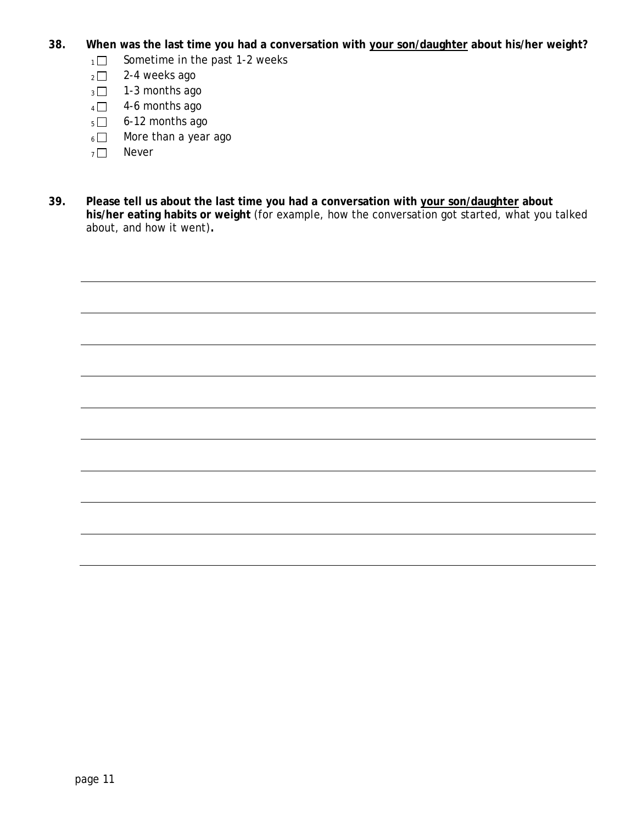- **38. When was the last time you had a conversation with your son/daughter about his/her weight?**
	- $1 \Box$  Sometime in the past 1-2 weeks
	- $2 2 4$  weeks ago
	- $_3$   $\Box$  1-3 months ago
	- $4\Box$  4-6 months ago
	- $5 \square$  6-12 months ago
	- $6 \Box$  More than a year ago
	- $7 \square$  Never
- **39. Please tell us about the last time you had a conversation with your son/daughter about his/her eating habits or weight** (for example, how the conversation got started, what you talked about, and how it went)**.**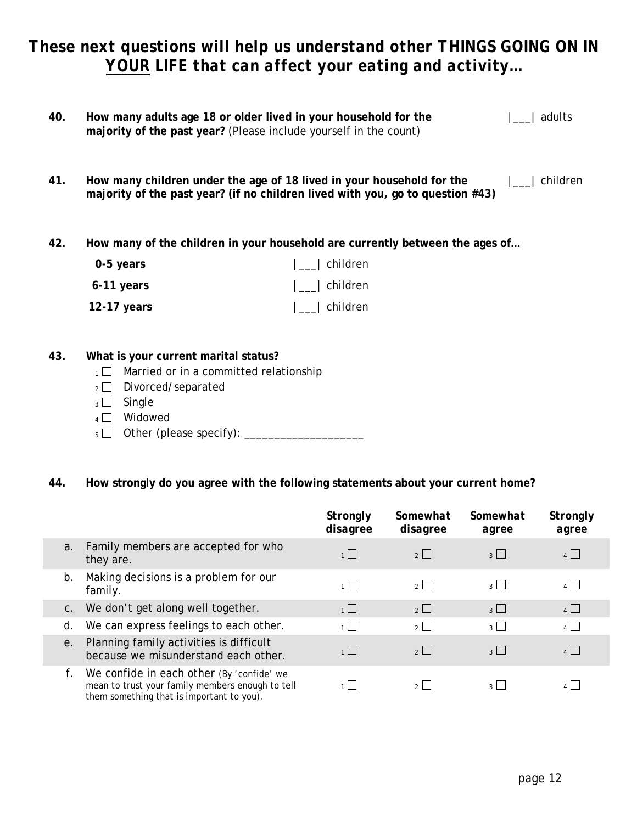## *These next questions will help us understand other THINGS GOING ON IN YOUR LIFE that can affect your eating and activity…*

| 40. | How many adults age 18 or older lived in your household for the<br>majority of the past year? (Please include yourself in the count) |                                                                                                                                                         | adults   |
|-----|--------------------------------------------------------------------------------------------------------------------------------------|---------------------------------------------------------------------------------------------------------------------------------------------------------|----------|
| 41. |                                                                                                                                      | How many children under the age of 18 lived in your household for the<br>majority of the past year? (if no children lived with you, go to question #43) | children |
| 42. |                                                                                                                                      | How many of the children in your household are currently between the ages of                                                                            |          |
|     | 0-5 years                                                                                                                            | children                                                                                                                                                |          |
|     | 6-11 years                                                                                                                           | children                                                                                                                                                |          |

**12-17 years** |\_\_\_| children

#### **43. What is your current marital status?**

- $1 \Box$  Married or in a committed relationship
- 2 Divorced/separated
- $_3$   $\Box$  Single
- $4 \Box$  Widowed
- <sup>5</sup> Other (please specify): \_\_\_\_\_\_\_\_\_\_\_\_\_\_\_\_\_\_\_\_

#### **44. How strongly do you agree with the following statements about your current home?**

|    |                                                                                                                                            | Strongly<br>disagree | Somewhat<br>disagree | Somewhat<br>agree | Strongly<br>agree |
|----|--------------------------------------------------------------------------------------------------------------------------------------------|----------------------|----------------------|-------------------|-------------------|
| a. | Family members are accepted for who<br>they are.                                                                                           | 1                    | $2\Box$              | $3\Box$           | $\overline{4}$    |
| b. | Making decisions is a problem for our<br>family.                                                                                           | $1\Box$              | $2\Box$              | $3 \mid$          | $\overline{A}$    |
| C. | We don't get along well together.                                                                                                          | 1                    | $\overline{2}$       | $3\Box$           | $\overline{4}$    |
| d. | We can express feelings to each other.                                                                                                     | $\overline{1}$       | $\overline{2}$       | $_3$ $\Box$       | $\overline{4}$    |
| e. | Planning family activities is difficult<br>because we misunderstand each other.                                                            | 1                    | $\overline{2}$       | $\overline{3}$    | $\overline{4}$    |
| f. | We confide in each other (By 'confide' we<br>mean to trust your family members enough to tell<br>them something that is important to you). | 1   I                | $2 \mid$             | $3 \mid$          | $\sqrt{1}$        |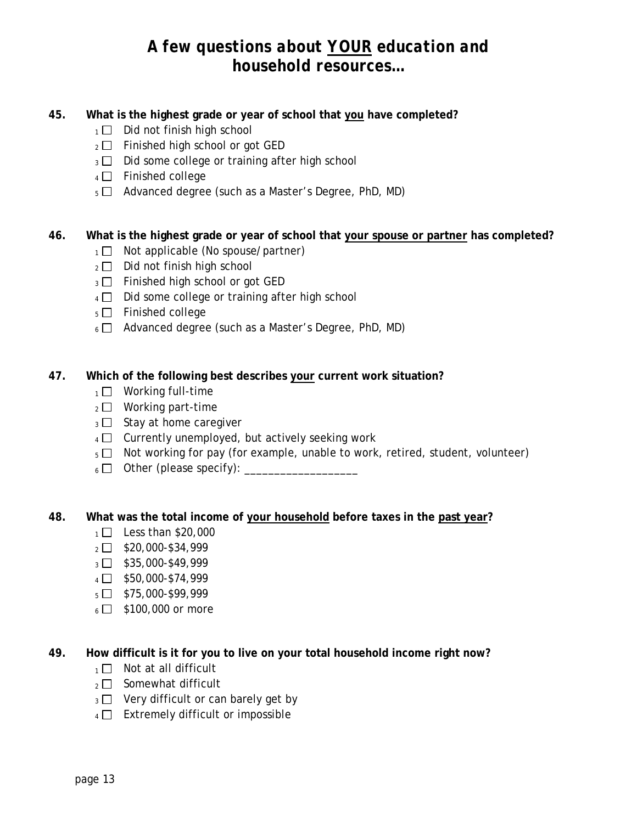## *A few questions about YOUR education and household resources…*

#### **45. What is the highest grade or year of school that you have completed?**

- $1 \Box$  Did not finish high school
- $2 \square$  Finished high school or got GED
- $_3$   $\Box$  Did some college or training after high school
- $4 \Box$  Finished college
- $5 \Box$  Advanced degree (such as a Master's Degree, PhD, MD)

#### **46. What is the highest grade or year of school that your spouse or partner has completed?**

- $1 \square$  Not applicable (No spouse/partner)
- $_2$   $\Box$  Did not finish high school
- $_3$   $\Box$  Finished high school or got GED
- $4 \Box$  Did some college or training after high school
- $_5$   $\Box$  Finished college
- $6 \Box$  Advanced degree (such as a Master's Degree, PhD, MD)

#### **47. Which of the following best describes your current work situation?**

- $1 \square$  Working full-time
- $_2 \square$  Working part-time
- $_3$   $\Box$  Stay at home caregiver
- $4 \Box$  Currently unemployed, but actively seeking work
- $5 \Box$  Not working for pay (for example, unable to work, retired, student, volunteer)
- <sup>6</sup> Other (please specify): \_\_\_\_\_\_\_\_\_\_\_\_\_\_\_\_\_\_\_

#### **48. What was the total income of your household before taxes in the past year?**

- $1 \square$  Less than \$20,000
- $2 \Box$  \$20,000-\$34,999
- $3 \square$  \$35,000-\$49,999
- $4 \Box$  \$50,000-\$74,999
- $5 \square$  \$75,000-\$99,999
- $6 \Box$  \$100,000 or more

#### **49. How difficult is it for you to live on your total household income right now?**

- $1 \square$  Not at all difficult
- $_2$  Somewhat difficult
- $3 \Box$  Very difficult or can barely get by
- $4 \Box$  Extremely difficult or impossible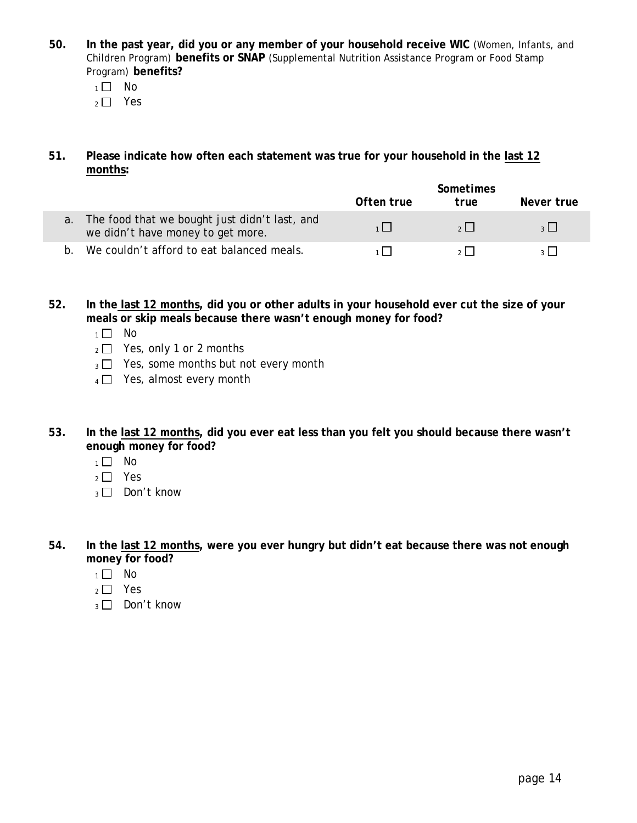- **50. In the past year, did you or any member of your household receive WIC** (Women, Infants, and Children Program) **benefits or SNAP** (Supplemental Nutrition Assistance Program or Food Stamp Program) **benefits?** 
	- $1 \square$  No
	- $2 \Box$  Yes
- **51. Please indicate how often each statement was true for your household in the last 12 months:**

|                                                                                          |            | <b>Sometimes</b> |            |  |  |
|------------------------------------------------------------------------------------------|------------|------------------|------------|--|--|
|                                                                                          | Often true | true             | Never true |  |  |
| The food that we bought just didn't last, and<br>a.<br>we didn't have money to get more. |            | 2                |            |  |  |
| We couldn't afford to eat balanced meals.<br>h.                                          |            |                  |            |  |  |

**52. In the last 12 months, did you or other adults in your household ever cut the size of your meals or skip meals because there wasn't enough money for food?** 

- $1 \square$  No
- $_2 \square$  Yes, only 1 or 2 months
- $_3$   $\Box$  Yes, some months but not every month
- $4 \Box$  Yes, almost every month
- **53. In the last 12 months, did you ever eat less than you felt you should because there wasn't enough money for food?** 
	- $1 \square$  No
	- $2 \square$  Yes
	- $_3 \Box$  Don't know
- **54. In the last 12 months, were you ever hungry but didn't eat because there was not enough money for food?** 
	- $1 \square$  No
	- $2 \square$  Yes
	- $_3 \square$  Don't know